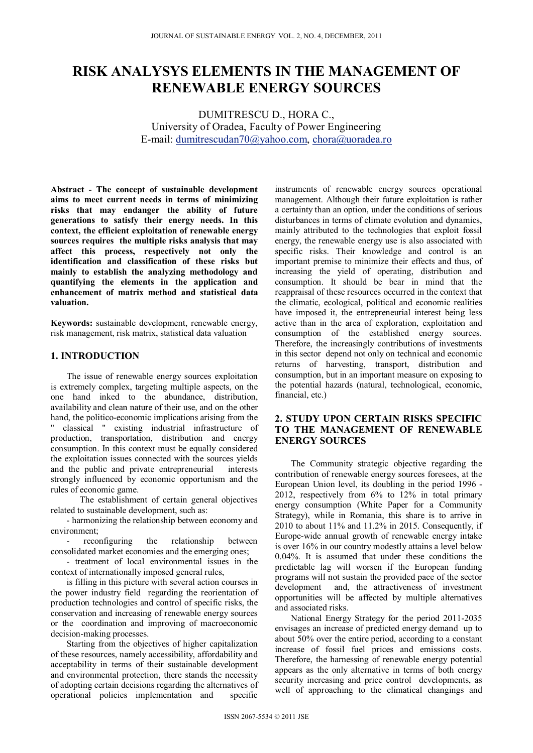# **RISK ANALYSYS ELEMENTS IN THE MANAGEMENT OF RENEWABLE ENERGY SOURCES**

DUMITRESCU D., HORA C., University of Oradea, Faculty of Power Engineering E-mail: dumitrescudan70@yahoo.com, chora@uoradea.ro

**Abstract - The concept of sustainable development aims to meet current needs in terms of minimizing risks that may endanger the ability of future generations to satisfy their energy needs. In this context, the efficient exploitation of renewable energy sources requires the multiple risks analysis that may affect this process, respectively not only the identification and classification of these risks but mainly to establish the analyzing methodology and quantifying the elements in the application and enhancement of matrix method and statistical data valuation.** 

**Keywords:** sustainable development, renewable energy, risk management, risk matrix, statistical data valuation

## **1. INTRODUCTION**

The issue of renewable energy sources exploitation is extremely complex, targeting multiple aspects, on the one hand inked to the abundance, distribution, availability and clean nature of their use, and on the other hand, the politico-economic implications arising from the " classical " existing industrial infrastructure of production, transportation, distribution and energy consumption. In this context must be equally considered the exploitation issues connected with the sources yields and the public and private entrepreneurial interests strongly influenced by economic opportunism and the rules of economic game.

 The establishment of certain general objectives related to sustainable development, such as:

- harmonizing the relationship between economy and environment;

reconfiguring the relationship between consolidated market economies and the emerging ones;

- treatment of local environmental issues in the context of internationally imposed general rules,

is filling in this picture with several action courses in the power industry field regarding the reorientation of production technologies and control of specific risks, the conservation and increasing of renewable energy sources or the coordination and improving of macroeconomic decision-making processes.

Starting from the objectives of higher capitalization of these resources, namely accessibility, affordability and acceptability in terms of their sustainable development and environmental protection, there stands the necessity of adopting certain decisions regarding the alternatives of operational policies implementation and specific

instruments of renewable energy sources operational management. Although their future exploitation is rather a certainty than an option, under the conditions of serious disturbances in terms of climate evolution and dynamics, mainly attributed to the technologies that exploit fossil energy, the renewable energy use is also associated with specific risks. Their knowledge and control is an important premise to minimize their effects and thus, of increasing the yield of operating, distribution and consumption. It should be bear in mind that the reappraisal of these resources occurred in the context that the climatic, ecological, political and economic realities have imposed it, the entrepreneurial interest being less active than in the area of exploration, exploitation and consumption of the established energy sources. Therefore, the increasingly contributions of investments in this sector depend not only on technical and economic returns of harvesting, transport, distribution and consumption, but in an important measure on exposing to the potential hazards (natural, technological, economic, financial, etc.)

# **2. STUDY UPON CERTAIN RISKS SPECIFIC TO THE MANAGEMENT OF RENEWABLE ENERGY SOURCES**

The Community strategic objective regarding the contribution of renewable energy sources foresees, at the European Union level, its doubling in the period 1996 - 2012, respectively from 6% to 12% in total primary energy consumption (White Paper for a Community Strategy), while in Romania, this share is to arrive in 2010 to about 11% and 11.2% in 2015. Consequently, if Europe-wide annual growth of renewable energy intake is over 16% in our country modestly attains a level below 0.04%. It is assumed that under these conditions the predictable lag will worsen if the European funding programs will not sustain the provided pace of the sector development and, the attractiveness of investment opportunities will be affected by multiple alternatives and associated risks.

National Energy Strategy for the period 2011-2035 envisages an increase of predicted energy demand up to about 50% over the entire period, according to a constant increase of fossil fuel prices and emissions costs. Therefore, the harnessing of renewable energy potential appears as the only alternative in terms of both energy security increasing and price control developments, as well of approaching to the climatical changings and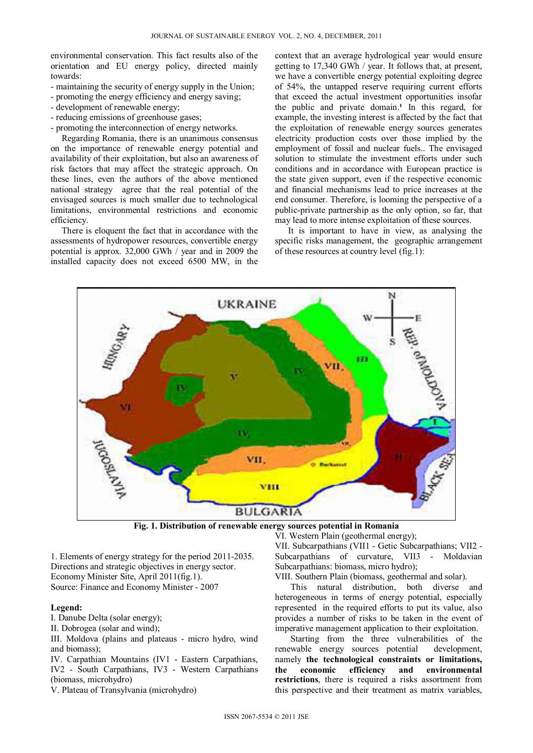environmental conservation. This fact results also of the orientation and EU energy policy, directed mainly towards:

- maintaining the security of energy supply in the Union;
- promoting the energy efficiency and energy saving;
- development of renewable energy;
- reducing emissions of greenhouse gases;
- promoting the interconnection of energy networks.

 Regarding Romania, there is an unanimous consensus on the importance of renewable energy potential and availability of their exploitation, but also an awareness of risk factors that may affect the strategic approach. On these lines, even the authors of the above mentioned national strategy agree that the real potential of the envisaged sources is much smaller due to technological limitations, environmental restrictions and economic efficiency.

 There is eloquent the fact that in accordance with the assessments of hydropower resources, convertible energy potential is approx. 32,000 GWh / year and in 2009 the installed capacity does not exceed 6500 MW, in the

context that an average hydrological year would ensure getting to 17,340 GWh / year. It follows that, at present, we have a convertible energy potential exploiting degree of 54%, the untapped reserve requiring current efforts that exceed the actual investment opportunities insofar the public and private domain.<sup>1</sup> In this regard, for example, the investing interest is affected by the fact that the exploitation of renewable energy sources generates electricity production costs over those implied by the employment of fossil and nuclear fuels.. The envisaged solution to stimulate the investment efforts under such conditions and in accordance with European practice is the state given support, even if the respective economic and financial mechanisms lead to price increases at the end consumer. Therefore, is looming the perspective of a public-private partnership as the only option, so far, that may lead to more intense exploitation of these sources.

 It is important to have in view, as analysing the specific risks management, the geographic arrangement of these resources at country level (fig.1):



**Fig. 1. Distribution of renewable energy sources potential in Romania** VI. Western Plain (geothermal energy);

1. Elements of energy strategy for the period 2011-2035. Directions and strategic objectives in energy sector. Economy Minister Site, April 2011(fig.1). Source: Finance and Economy Minister - 2007

#### **Legend:**

- I. Danube Delta (solar energy);
- II. Dobrogea (solar and wind);

III. Moldova (plains and plateaus - micro hydro, wind and biomass);

IV. Carpathian Mountains (IV1 - Eastern Carpathians, IV2 - South Carpathians, IV3 - Western Carpathians (biomass, microhydro)

V. Plateau of Transylvania (microhydro)

VII. Subcarpathians (VII1 - Getic Subcarpathians; VII2 - Subcarpathians of curvature, VII3 - Moldavian Subcarpathians: biomass, micro hydro);

VIII. Southern Plain (biomass, geothermal and solar).

 This natural distribution, both diverse and heterogeneous in terms of energy potential, especially represented in the required efforts to put its value, also provides a number of risks to be taken in the event of imperative management application to their exploitation.

 Starting from the three vulnerabilities of the renewable energy sources potential development, namely **the technological constraints or limitations, the economic efficiency and environmental restrictions**, there is required a risks assortment from this perspective and their treatment as matrix variables,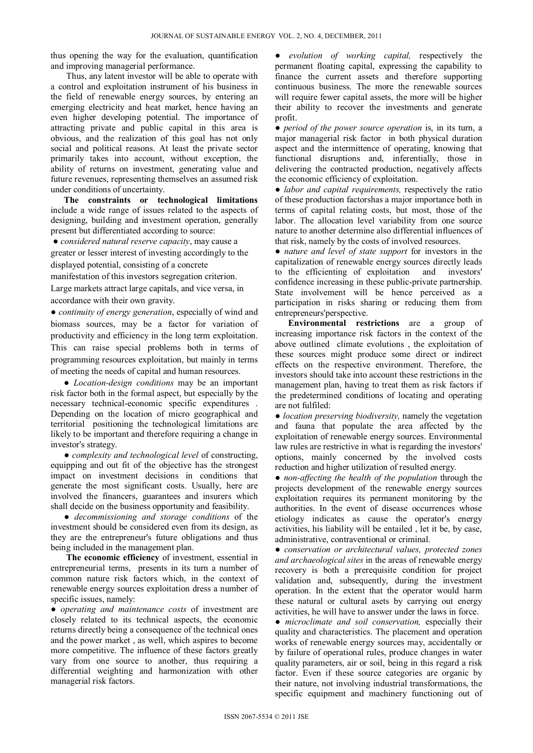thus opening the way for the evaluation, quantification and improving managerial performance.

 Thus, any latent investor will be able to operate with a control and exploitation instrument of his business in the field of renewable energy sources, by entering an emerging electricity and heat market, hence having an even higher developing potential. The importance of attracting private and public capital in this area is obvious, and the realization of this goal has not only social and political reasons. At least the private sector primarily takes into account, without exception, the ability of returns on investment, generating value and future revenues, representing themselves an assumed risk under conditions of uncertainty.

 **The constraints or technological limitations** include a wide range of issues related to the aspects of designing, building and investment operation, generally present but differentiated according to source:

 ● *considered natural reserve capacity*, may cause a greater or lesser interest of investing accordingly to the displayed potential, consisting of a concrete

manifestation of this investors segregation criterion.

Large markets attract large capitals, and vice versa, in accordance with their own gravity.

● *continuity of energy generation*, especially of wind and biomass sources, may be a factor for variation of productivity and efficiency in the long term exploitation. This can raise special problems both in terms of programming resources exploitation, but mainly in terms of meeting the needs of capital and human resources.

 ● *Location-design conditions* may be an important risk factor both in the formal aspect, but especially by the necessary technical-economic specific expenditures . Depending on the location of micro geographical and territorial positioning the technological limitations are likely to be important and therefore requiring a change in investor's strategy.

 ● *complexity and technological level* of constructing, equipping and out fit of the objective has the strongest impact on investment decisions in conditions that generate the most significant costs. Usually, here are involved the financers, guarantees and insurers which shall decide on the business opportunity and feasibility.

 ● *decommissioning and storage conditions* of the investment should be considered even from its design, as they are the entrepreneur's future obligations and thus being included in the management plan.

 **The economic efficiency** of investment, essential in entrepreneurial terms, presents in its turn a number of common nature risk factors which, in the context of renewable energy sources exploitation dress a number of specific issues, namely:

**●** *operating and maintenance costs* of investment are closely related to its technical aspects, the economic returns directly being a consequence of the technical ones and the power market , as well, which aspires to become more competitive. The influence of these factors greatly vary from one source to another, thus requiring a differential weighting and harmonization with other managerial risk factors.

● *evolution of working capital,* respectively the permanent floating capital, expressing the capability to finance the current assets and therefore supporting continuous business. The more the renewable sources will require fewer capital assets, the more will be higher their ability to recover the investments and generate profit.

● *period of the power source operation* is, in its turn, a major managerial risk factor in both physical duration aspect and the intermittence of operating, knowing that functional disruptions and, inferentially, those in delivering the contracted production, negatively affects the economic efficiency of exploitation.

● *labor and capital requirements,* respectively the ratio of these production factorshas a major importance both in terms of capital relating costs, but most, those of the labor. The allocation level variability from one source nature to another determine also differential influences of that risk, namely by the costs of involved resources.

● *nature and level of state support* for investors in the capitalization of renewable energy sources directly leads<br>to the efficienting of exploitation and investors' to the efficienting of exploitation and confidence increasing in these public-private partnership. State involvement will be hence perceived as a participation in risks sharing or reducing them from entrepreneurs'perspective.

 **Environmental restrictions** are a group of increasing importance risk factors in the context of the above outlined climate evolutions , the exploitation of these sources might produce some direct or indirect effects on the respective environment. Therefore, the investors should take into account these restrictions in the management plan, having to treat them as risk factors if the predetermined conditions of locating and operating are not fulfiled:

● *location preserving biodiversity,* namely the vegetation and fauna that populate the area affected by the exploitation of renewable energy sources. Environmental law rules are restrictive in what is regarding the investors' options, mainly concerned by the involved costs reduction and higher utilization of resulted energy.

● *non-affecting the health of the population* through the projects development of the renewable energy sources exploitation requires its permanent monitoring by the authorities. In the event of disease occurrences whose etiology indicates as cause the operator's energy activities, his liability will be entailed , let it be, by case, administrative, contraventional or criminal.

● *conservation or architectural values, protected zones and archaeological sites* in the areas of renewable energy recovery is both a prerequisite condition for project validation and, subsequently, during the investment operation. In the extent that the operator would harm these natural or cultural asets by carrying out energy activities, he will have to answer under the laws in force.

● *microclimate and soil conservation,* especially their quality and characteristics. The placement and operation works of renewable energy sources may, accidentally or by failure of operational rules, produce changes in water quality parameters, air or soil, being in this regard a risk factor. Even if these source categories are organic by their nature, not involving industrial transformations, the specific equipment and machinery functioning out of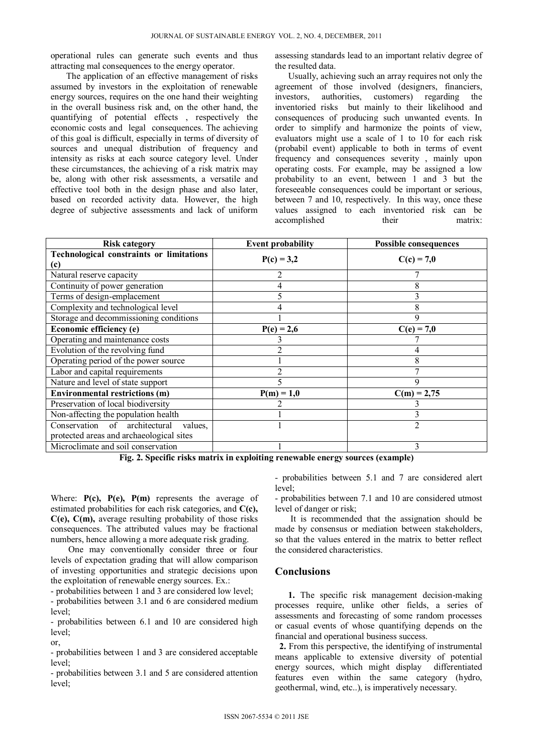operational rules can generate such events and thus attracting mal consequences to the energy operator.

 The application of an effective management of risks assumed by investors in the exploitation of renewable energy sources, requires on the one hand their weighting in the overall business risk and, on the other hand, the quantifying of potential effects , respectively the economic costs and legal consequences. The achieving of this goal is difficult, especially in terms of diversity of sources and unequal distribution of frequency and intensity as risks at each source category level. Under these circumstances, the achieving of a risk matrix may be, along with other risk assessments, a versatile and effective tool both in the design phase and also later, based on recorded activity data. However, the high degree of subjective assessments and lack of uniform

assessing standards lead to an important relativ degree of the resulted data.

 Usually, achieving such an array requires not only the agreement of those involved (designers, financiers, investors, authorities, customers) regarding the inventoried risks but mainly to their likelihood and consequences of producing such unwanted events. In order to simplify and harmonize the points of view, evaluators might use a scale of 1 to 10 for each risk (probabil event) applicable to both in terms of event frequency and consequences severity , mainly upon operating costs. For example, may be assigned a low probability to an event, between 1 and 3 but the foreseeable consequences could be important or serious, between 7 and 10, respectively. In this way, once these values assigned to each inventoried risk can be accomplished their matrix:

| <b>Risk category</b>                                   | <b>Event probability</b> | <b>Possible consequences</b> |
|--------------------------------------------------------|--------------------------|------------------------------|
| <b>Technological constraints or limitations</b><br>(c) | $P(c) = 3,2$             | $C(c) = 7,0$                 |
| Natural reserve capacity                               |                          |                              |
| Continuity of power generation                         |                          |                              |
| Terms of design-emplacement                            |                          |                              |
| Complexity and technological level                     | 4                        |                              |
| Storage and decommissioning conditions                 |                          | 9                            |
| Economic efficiency (e)                                | $P(e) = 2,6$             | $C(e) = 7,0$                 |
| Operating and maintenance costs                        |                          |                              |
| Evolution of the revolving fund                        |                          |                              |
| Operating period of the power source                   |                          |                              |
| Labor and capital requirements                         |                          |                              |
| Nature and level of state support                      | 5                        | 9                            |
| <b>Environmental restrictions (m)</b>                  | $P(m) = 1,0$             | $C(m) = 2,75$                |
| Preservation of local biodiversity                     | $\mathfrak{D}$           | 3                            |
| Non-affecting the population health                    |                          |                              |
| Conservation of architectural<br>values.               |                          |                              |
| protected areas and archaeological sites               |                          |                              |
| Microclimate and soil conservation                     |                          |                              |

**Fig. 2. Specific risks matrix in exploiting renewable energy sources (example)**

Where: **P(c), P(e), P(m)** represents the average of estimated probabilities for each risk categories, and **C(c), C(e), C(m),** average resulting probability of those risks consequences. The attributed values may be fractional numbers, hence allowing a more adequate risk grading.

 One may conventionally consider three or four levels of expectation grading that will allow comparison of investing opportunities and strategic decisions upon the exploitation of renewable energy sources. Ex.:

- probabilities between 1 and 3 are considered low level;

- probabilities between 3.1 and 6 are considered medium level;

- probabilities between 6.1 and 10 are considered high level;

or,

- probabilities between 1 and 3 are considered acceptable level;

- probabilities between 3.1 and 5 are considered attention level;

- probabilities between 5.1 and 7 are considered alert level;

- probabilities between 7.1 and 10 are considered utmost level of danger or risk;

 It is recommended that the assignation should be made by consensus or mediation between stakeholders, so that the values entered in the matrix to better reflect the considered characteristics.

## **Conclusions**

 **1.** The specific risk management decision-making processes require, unlike other fields, a series of assessments and forecasting of some random processes or casual events of whose quantifying depends on the financial and operational business success.

 **2.** From this perspective, the identifying of instrumental means applicable to extensive diversity of potential energy sources, which might display differentiated features even within the same category (hydro, geothermal, wind, etc..), is imperatively necessary.